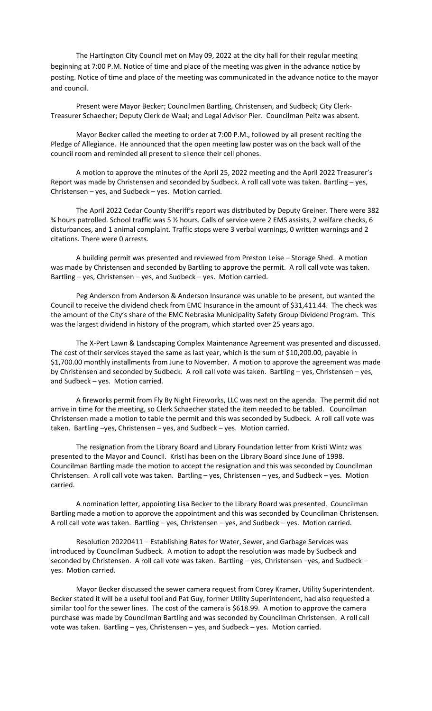The Hartington City Council met on May 09, 2022 at the city hall for their regular meeting beginning at 7:00 P.M. Notice of time and place of the meeting was given in the advance notice by posting. Notice of time and place of the meeting was communicated in the advance notice to the mayor and council.

Present were Mayor Becker; Councilmen Bartling, Christensen, and Sudbeck; City Clerk‐ Treasurer Schaecher; Deputy Clerk de Waal; and Legal Advisor Pier. Councilman Peitz was absent.

Mayor Becker called the meeting to order at 7:00 P.M., followed by all present reciting the Pledge of Allegiance. He announced that the open meeting law poster was on the back wall of the council room and reminded all present to silence their cell phones.

A motion to approve the minutes of the April 25, 2022 meeting and the April 2022 Treasurer's Report was made by Christensen and seconded by Sudbeck. A roll call vote was taken. Bartling – yes, Christensen – yes, and Sudbeck – yes. Motion carried.

The April 2022 Cedar County Sheriff's report was distributed by Deputy Greiner. There were 382 ¾ hours patrolled. School traffic was 5 ½ hours. Calls of service were 2 EMS assists, 2 welfare checks, 6 disturbances, and 1 animal complaint. Traffic stops were 3 verbal warnings, 0 written warnings and 2 citations. There were 0 arrests.

A building permit was presented and reviewed from Preston Leise – Storage Shed. A motion was made by Christensen and seconded by Bartling to approve the permit. A roll call vote was taken. Bartling – yes, Christensen – yes, and Sudbeck – yes. Motion carried.

Peg Anderson from Anderson & Anderson Insurance was unable to be present, but wanted the Council to receive the dividend check from EMC Insurance in the amount of \$31,411.44. The check was the amount of the City's share of the EMC Nebraska Municipality Safety Group Dividend Program. This was the largest dividend in history of the program, which started over 25 years ago.

The X‐Pert Lawn & Landscaping Complex Maintenance Agreement was presented and discussed. The cost of their services stayed the same as last year, which is the sum of \$10,200.00, payable in \$1,700.00 monthly installments from June to November. A motion to approve the agreement was made by Christensen and seconded by Sudbeck. A roll call vote was taken. Bartling – yes, Christensen – yes, and Sudbeck – yes. Motion carried.

A fireworks permit from Fly By Night Fireworks, LLC was next on the agenda. The permit did not arrive in time for the meeting, so Clerk Schaecher stated the item needed to be tabled. Councilman Christensen made a motion to table the permit and this was seconded by Sudbeck. A roll call vote was taken. Bartling –yes, Christensen – yes, and Sudbeck – yes. Motion carried.

The resignation from the Library Board and Library Foundation letter from Kristi Wintz was presented to the Mayor and Council. Kristi has been on the Library Board since June of 1998. Councilman Bartling made the motion to accept the resignation and this was seconded by Councilman Christensen. A roll call vote was taken. Bartling – yes, Christensen – yes, and Sudbeck – yes. Motion carried.

A nomination letter, appointing Lisa Becker to the Library Board was presented. Councilman Bartling made a motion to approve the appointment and this was seconded by Councilman Christensen. A roll call vote was taken. Bartling – yes, Christensen – yes, and Sudbeck – yes. Motion carried.

Resolution 20220411 – Establishing Rates for Water, Sewer, and Garbage Services was introduced by Councilman Sudbeck. A motion to adopt the resolution was made by Sudbeck and seconded by Christensen. A roll call vote was taken. Bartling – yes, Christensen –yes, and Sudbeck – yes. Motion carried.

Mayor Becker discussed the sewer camera request from Corey Kramer, Utility Superintendent. Becker stated it will be a useful tool and Pat Guy, former Utility Superintendent, had also requested a similar tool for the sewer lines. The cost of the camera is \$618.99. A motion to approve the camera purchase was made by Councilman Bartling and was seconded by Councilman Christensen. A roll call vote was taken. Bartling – yes, Christensen – yes, and Sudbeck – yes. Motion carried.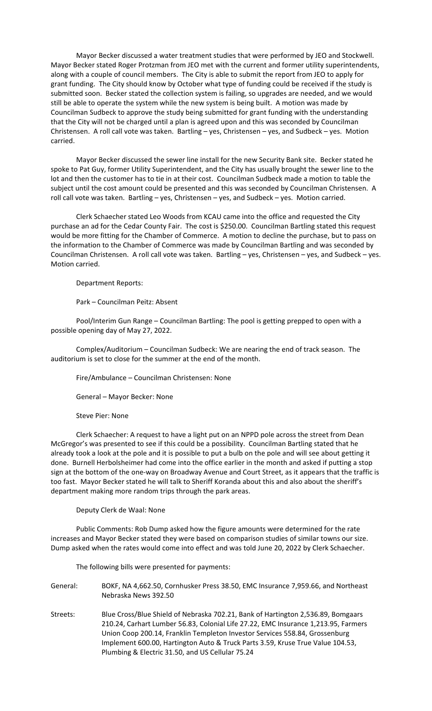Mayor Becker discussed a water treatment studies that were performed by JEO and Stockwell. Mayor Becker stated Roger Protzman from JEO met with the current and former utility superintendents, along with a couple of council members. The City is able to submit the report from JEO to apply for grant funding. The City should know by October what type of funding could be received if the study is submitted soon. Becker stated the collection system is failing, so upgrades are needed, and we would still be able to operate the system while the new system is being built. A motion was made by Councilman Sudbeck to approve the study being submitted for grant funding with the understanding that the City will not be charged until a plan is agreed upon and this was seconded by Councilman Christensen. A roll call vote was taken. Bartling – yes, Christensen – yes, and Sudbeck – yes. Motion carried.

Mayor Becker discussed the sewer line install for the new Security Bank site. Becker stated he spoke to Pat Guy, former Utility Superintendent, and the City has usually brought the sewer line to the lot and then the customer has to tie in at their cost. Councilman Sudbeck made a motion to table the subject until the cost amount could be presented and this was seconded by Councilman Christensen. A roll call vote was taken. Bartling – yes, Christensen – yes, and Sudbeck – yes. Motion carried.

Clerk Schaecher stated Leo Woods from KCAU came into the office and requested the City purchase an ad for the Cedar County Fair. The cost is \$250.00. Councilman Bartling stated this request would be more fitting for the Chamber of Commerce. A motion to decline the purchase, but to pass on the information to the Chamber of Commerce was made by Councilman Bartling and was seconded by Councilman Christensen. A roll call vote was taken. Bartling – yes, Christensen – yes, and Sudbeck – yes. Motion carried.

Department Reports:

## Park – Councilman Peitz: Absent

Pool/Interim Gun Range – Councilman Bartling: The pool is getting prepped to open with a possible opening day of May 27, 2022.

Complex/Auditorium – Councilman Sudbeck: We are nearing the end of track season. The auditorium is set to close for the summer at the end of the month.

Fire/Ambulance – Councilman Christensen: None

General – Mayor Becker: None

Steve Pier: None

Clerk Schaecher: A request to have a light put on an NPPD pole across the street from Dean McGregor's was presented to see if this could be a possibility. Councilman Bartling stated that he already took a look at the pole and it is possible to put a bulb on the pole and will see about getting it done. Burnell Herbolsheimer had come into the office earlier in the month and asked if putting a stop sign at the bottom of the one‐way on Broadway Avenue and Court Street, as it appears that the traffic is too fast. Mayor Becker stated he will talk to Sheriff Koranda about this and also about the sheriff's department making more random trips through the park areas.

## Deputy Clerk de Waal: None

Public Comments: Rob Dump asked how the figure amounts were determined for the rate increases and Mayor Becker stated they were based on comparison studies of similar towns our size. Dump asked when the rates would come into effect and was told June 20, 2022 by Clerk Schaecher.

The following bills were presented for payments:

| General: | BOKF, NA 4,662.50, Cornhusker Press 38.50, EMC Insurance 7,959.66, and Northeast |
|----------|----------------------------------------------------------------------------------|
|          | Nebraska News 392.50                                                             |

Streets: Blue Cross/Blue Shield of Nebraska 702.21, Bank of Hartington 2,536.89, Bomgaars 210.24, Carhart Lumber 56.83, Colonial Life 27.22, EMC Insurance 1,213.95, Farmers Union Coop 200.14, Franklin Templeton Investor Services 558.84, Grossenburg Implement 600.00, Hartington Auto & Truck Parts 3.59, Kruse True Value 104.53, Plumbing & Electric 31.50, and US Cellular 75.24